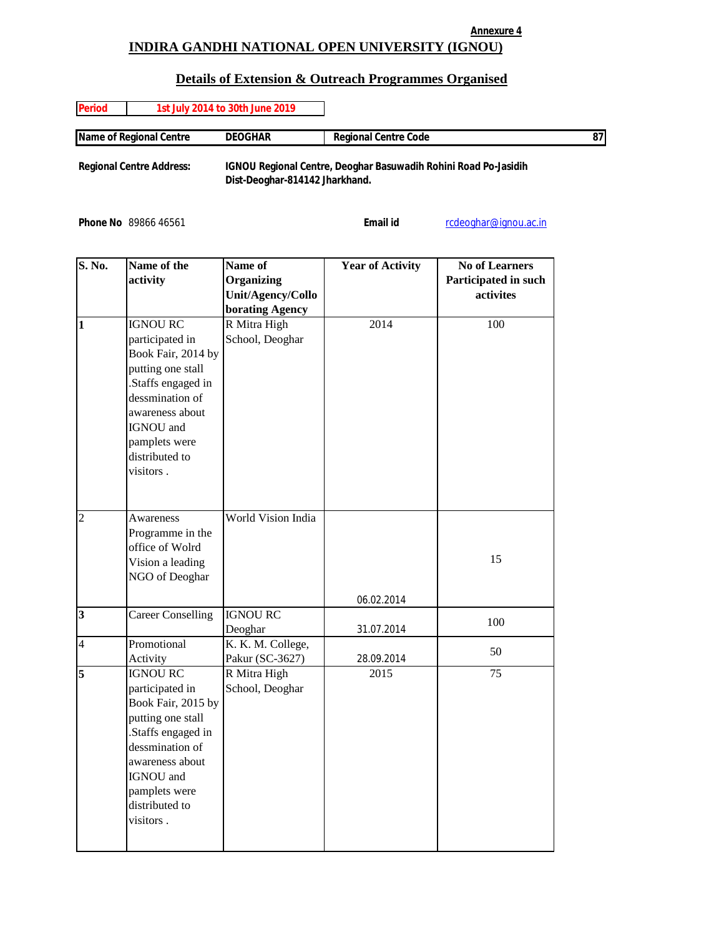## **Annexure 4 INDIRA GANDHI NATIONAL OPEN UNIVERSITY (IGNOU)**

## **Details of Extension & Outreach Programmes Organised**

| <b>Period</b><br>1st July 2014 to 30th June 2019 |                         |                                |                                                                        |  |
|--------------------------------------------------|-------------------------|--------------------------------|------------------------------------------------------------------------|--|
|                                                  | Name of Regional Centre | <b>DEOGHAR</b>                 | <b>Regional Centre Code</b>                                            |  |
| <b>Regional Centre Address:</b>                  |                         | Dist-Deoghar-814142 Jharkhand. | <b>IGNOU Regional Centre, Deoghar Basuwadih Rohini Road Po-Jasidih</b> |  |

**Phone No** 89866 46561 **Email id** rcdeoghar@ignou.ac.in

| S. No.         | Name of the              | Name of                | <b>Year of Activity</b> | <b>No of Learners</b> |
|----------------|--------------------------|------------------------|-------------------------|-----------------------|
|                | activity                 | <b>Organizing</b>      |                         | Participated in such  |
|                |                          | Unit/Agency/Collo      |                         | activites             |
|                |                          | <b>borating Agency</b> |                         |                       |
| $\mathbf{1}$   | <b>IGNOU RC</b>          | R Mitra High           | 2014                    | 100                   |
|                | participated in          | School, Deoghar        |                         |                       |
|                | Book Fair, 2014 by       |                        |                         |                       |
|                | putting one stall        |                        |                         |                       |
|                | .Staffs engaged in       |                        |                         |                       |
|                | dessmination of          |                        |                         |                       |
|                | awareness about          |                        |                         |                       |
|                | IGNOU and                |                        |                         |                       |
|                | pamplets were            |                        |                         |                       |
|                | distributed to           |                        |                         |                       |
|                |                          |                        |                         |                       |
|                | visitors.                |                        |                         |                       |
|                |                          |                        |                         |                       |
|                |                          |                        |                         |                       |
| $\overline{c}$ | Awareness                | World Vision India     |                         |                       |
|                | Programme in the         |                        |                         |                       |
|                | office of Wolrd          |                        |                         |                       |
|                | Vision a leading         |                        |                         | 15                    |
|                | NGO of Deoghar           |                        |                         |                       |
|                |                          |                        | 06.02.2014              |                       |
| 3              | <b>Career Conselling</b> | <b>IGNOU RC</b>        |                         | 100                   |
|                |                          | Deoghar                | 31.07.2014              |                       |
| $\overline{4}$ | Promotional              | K. K. M. College,      |                         |                       |
|                | Activity                 | Pakur (SC-3627)        | 28.09.2014              | 50                    |
| 5              | <b>IGNOU RC</b>          | R Mitra High           | 2015                    | 75                    |
|                | participated in          | School, Deoghar        |                         |                       |
|                | Book Fair, 2015 by       |                        |                         |                       |
|                | putting one stall        |                        |                         |                       |
|                | .Staffs engaged in       |                        |                         |                       |
|                | dessmination of          |                        |                         |                       |
|                | awareness about          |                        |                         |                       |
|                | IGNOU and                |                        |                         |                       |
|                | pamplets were            |                        |                         |                       |
|                | distributed to           |                        |                         |                       |
|                | visitors.                |                        |                         |                       |
|                |                          |                        |                         |                       |
|                |                          |                        |                         |                       |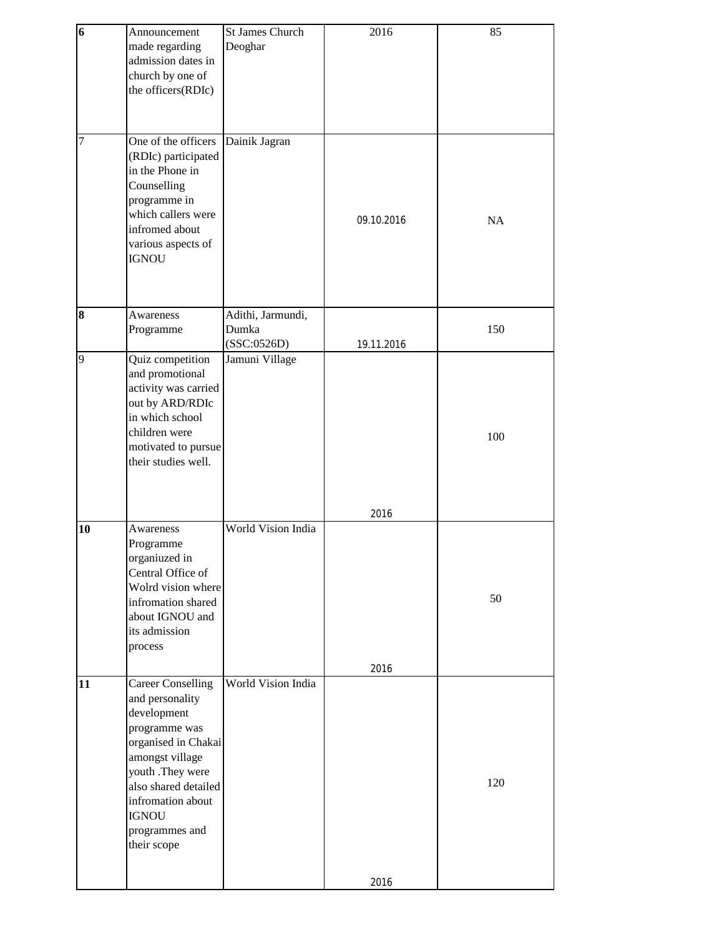| $\boldsymbol{6}$ | Announcement<br>made regarding<br>admission dates in<br>church by one of<br>the officers(RDIc)                                                                                                                                          | <b>St James Church</b><br>Deoghar         | 2016         | 85        |
|------------------|-----------------------------------------------------------------------------------------------------------------------------------------------------------------------------------------------------------------------------------------|-------------------------------------------|--------------|-----------|
| 7                | One of the officers<br>(RDIc) participated<br>in the Phone in<br>Counselling<br>programme in<br>which callers were<br>infromed about<br>various aspects of<br><b>IGNOU</b>                                                              | Dainik Jagran                             | 09.10.2016   | <b>NA</b> |
| 8                | Awareness<br>Programme                                                                                                                                                                                                                  | Adithi, Jarmundi,<br>Dumka<br>(SSC:0526D) | 19.11.2016   | 150       |
| 9                | Quiz competition<br>and promotional<br>activity was carried<br>out by ARD/RDIc<br>in which school<br>children were<br>motivated to pursue<br>their studies well.                                                                        | Jamuni Village                            |              | 100       |
| 10               | Awareness<br>Programme<br>organiuzed in<br>Central Office of<br>Wolrd vision where<br>infromation shared<br>about IGNOU and<br>its admission<br>process                                                                                 | World Vision India                        | 2016<br>2016 | 50        |
| 11               | <b>Career Conselling</b><br>and personality<br>development<br>programme was<br>organised in Chakai<br>amongst village<br>youth .They were<br>also shared detailed<br>infromation about<br><b>IGNOU</b><br>programmes and<br>their scope | World Vision India                        | 2016         | 120       |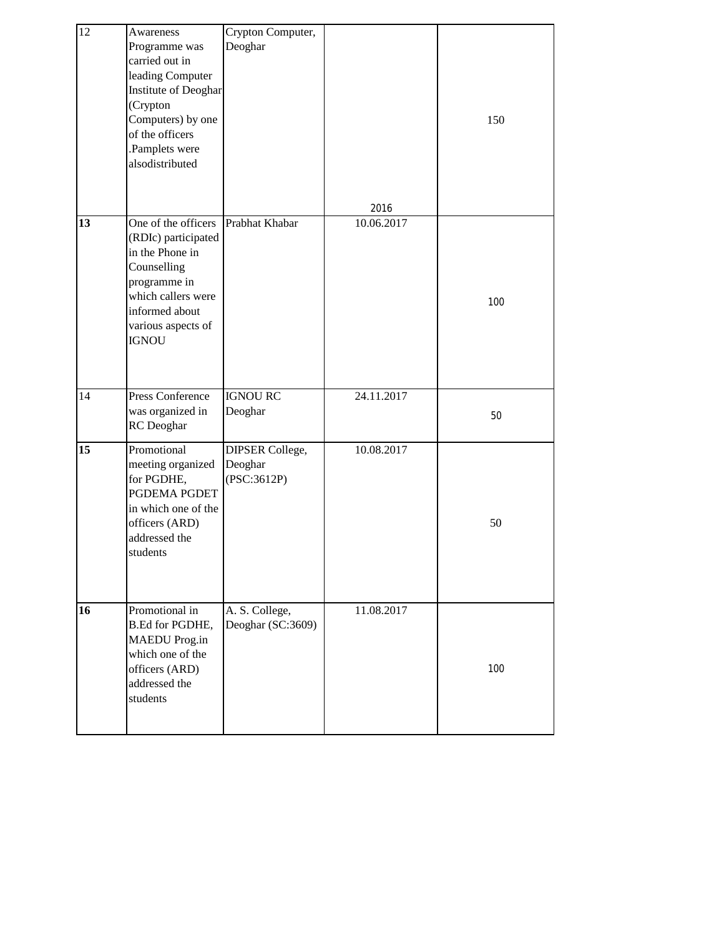| 12 | Awareness            | Crypton Computer,      |            |     |
|----|----------------------|------------------------|------------|-----|
|    | Programme was        | Deoghar                |            |     |
|    | carried out in       |                        |            |     |
|    | leading Computer     |                        |            |     |
|    | Institute of Deoghar |                        |            |     |
|    | (Crypton             |                        |            |     |
|    | Computers) by one    |                        |            | 150 |
|    |                      |                        |            |     |
|    | of the officers      |                        |            |     |
|    | Pamplets were        |                        |            |     |
|    | alsodistributed      |                        |            |     |
|    |                      |                        |            |     |
|    |                      |                        |            |     |
|    |                      |                        | 2016       |     |
| 13 | One of the officers  | Prabhat Khabar         | 10.06.2017 |     |
|    | (RDIc) participated  |                        |            |     |
|    | in the Phone in      |                        |            |     |
|    |                      |                        |            |     |
|    | Counselling          |                        |            |     |
|    | programme in         |                        |            |     |
|    | which callers were   |                        |            | 100 |
|    | informed about       |                        |            |     |
|    | various aspects of   |                        |            |     |
|    | <b>IGNOU</b>         |                        |            |     |
|    |                      |                        |            |     |
|    |                      |                        |            |     |
|    |                      |                        |            |     |
| 14 | Press Conference     | <b>IGNOU RC</b>        | 24.11.2017 |     |
|    | was organized in     | Deoghar                |            | 50  |
|    | RC Deoghar           |                        |            |     |
|    |                      |                        |            |     |
| 15 | Promotional          | <b>DIPSER College,</b> | 10.08.2017 |     |
|    | meeting organized    | Deoghar                |            |     |
|    | for PGDHE,           | (PSC:3612P)            |            |     |
|    | PGDEMA PGDET         |                        |            |     |
|    | in which one of the  |                        |            |     |
|    | officers (ARD)       |                        |            | 50  |
|    | addressed the        |                        |            |     |
|    |                      |                        |            |     |
|    | students             |                        |            |     |
|    |                      |                        |            |     |
|    |                      |                        |            |     |
| 16 | Promotional in       |                        | 11.08.2017 |     |
|    |                      | A. S. College,         |            |     |
|    | B.Ed for PGDHE,      | Deoghar (SC:3609)      |            |     |
|    | <b>MAEDU</b> Prog.in |                        |            |     |
|    | which one of the     |                        |            |     |
|    | officers (ARD)       |                        |            | 100 |
|    | addressed the        |                        |            |     |
|    | students             |                        |            |     |
|    |                      |                        |            |     |
|    |                      |                        |            |     |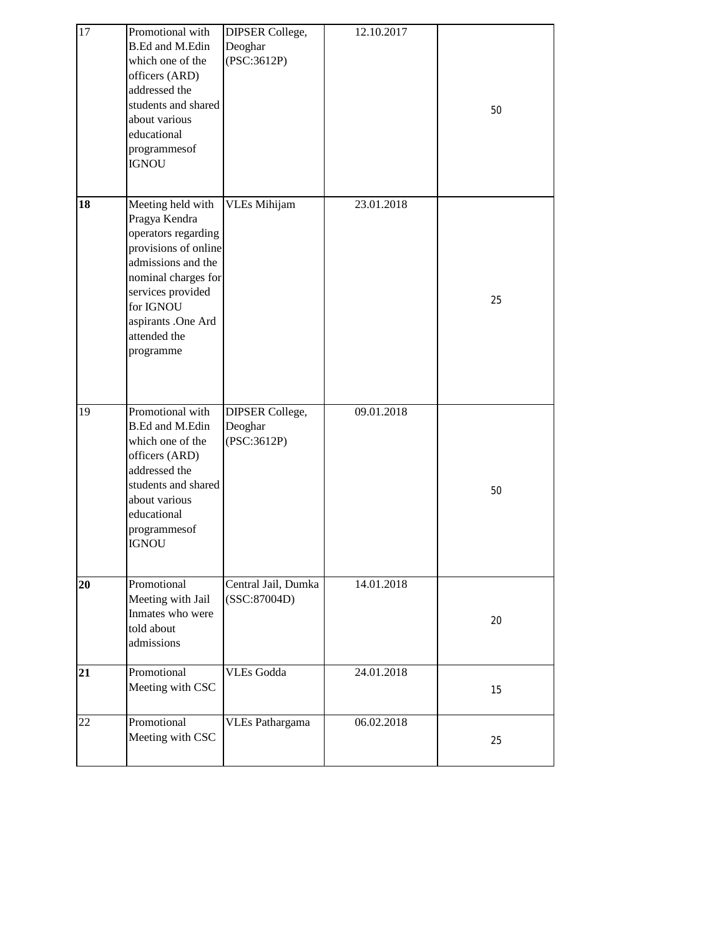| 17 | Promotional with<br><b>B.Ed and M.Edin</b><br>which one of the<br>officers (ARD)<br>addressed the<br>students and shared<br>about various<br>educational<br>programmesof<br><b>IGNOU</b>                            | <b>DIPSER College,</b><br>Deoghar<br>(PSC:3612P) | 12.10.2017 | 50 |
|----|---------------------------------------------------------------------------------------------------------------------------------------------------------------------------------------------------------------------|--------------------------------------------------|------------|----|
| 18 | Meeting held with<br>Pragya Kendra<br>operators regarding<br>provisions of online<br>admissions and the<br>nominal charges for<br>services provided<br>for IGNOU<br>aspirants .One Ard<br>attended the<br>programme | <b>VLEs Mihijam</b>                              | 23.01.2018 | 25 |
| 19 | Promotional with<br><b>B.Ed and M.Edin</b><br>which one of the<br>officers (ARD)<br>addressed the<br>students and shared<br>about various<br>educational<br>programmesof<br><b>IGNOU</b>                            | <b>DIPSER College,</b><br>Deoghar<br>(PSC:3612P) | 09.01.2018 | 50 |
| 20 | Promotional<br>Meeting with Jail<br>Inmates who were<br>told about<br>admissions                                                                                                                                    | Central Jail, Dumka<br>(SSC:87004D)              | 14.01.2018 | 20 |
| 21 | Promotional<br>Meeting with CSC                                                                                                                                                                                     | <b>VLEs Godda</b>                                | 24.01.2018 | 15 |
| 22 | Promotional<br>Meeting with CSC                                                                                                                                                                                     | <b>VLEs Pathargama</b>                           | 06.02.2018 | 25 |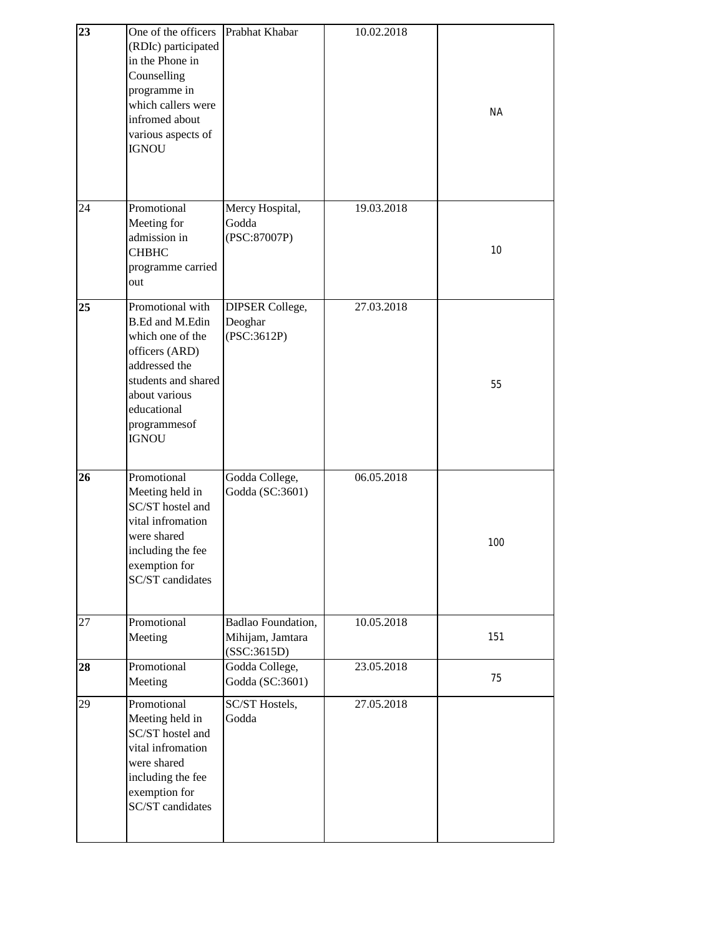| 23 | One of the officers<br>(RDIc) participated<br>in the Phone in<br>Counselling<br>programme in<br>which callers were<br>infromed about<br>various aspects of<br><b>IGNOU</b>               | Prabhat Khabar                                        | 10.02.2018 | <b>NA</b> |
|----|------------------------------------------------------------------------------------------------------------------------------------------------------------------------------------------|-------------------------------------------------------|------------|-----------|
| 24 | Promotional<br>Meeting for<br>admission in<br><b>CHBHC</b><br>programme carried<br>out                                                                                                   | Mercy Hospital,<br>Godda<br>(PSC:87007P)              | 19.03.2018 | 10        |
| 25 | Promotional with<br><b>B.Ed and M.Edin</b><br>which one of the<br>officers (ARD)<br>addressed the<br>students and shared<br>about various<br>educational<br>programmesof<br><b>IGNOU</b> | DIPSER College,<br>Deoghar<br>(PSC:3612P)             | 27.03.2018 | 55        |
| 26 | Promotional<br>Meeting held in<br>SC/ST hostel and<br>vital infromation<br>were shared<br>including the fee<br>exemption for<br>SC/ST candidates                                         | Godda College,<br>Godda (SC:3601)                     | 06.05.2018 | 100       |
| 27 | Promotional<br>Meeting                                                                                                                                                                   | Badlao Foundation,<br>Mihijam, Jamtara<br>(SSC:3615D) | 10.05.2018 | 151       |
| 28 | Promotional<br>Meeting                                                                                                                                                                   | Godda College,<br>Godda (SC:3601)                     | 23.05.2018 | 75        |
| 29 | Promotional<br>Meeting held in<br>SC/ST hostel and<br>vital infromation<br>were shared<br>including the fee<br>exemption for<br>SC/ST candidates                                         | SC/ST Hostels,<br>Godda                               | 27.05.2018 |           |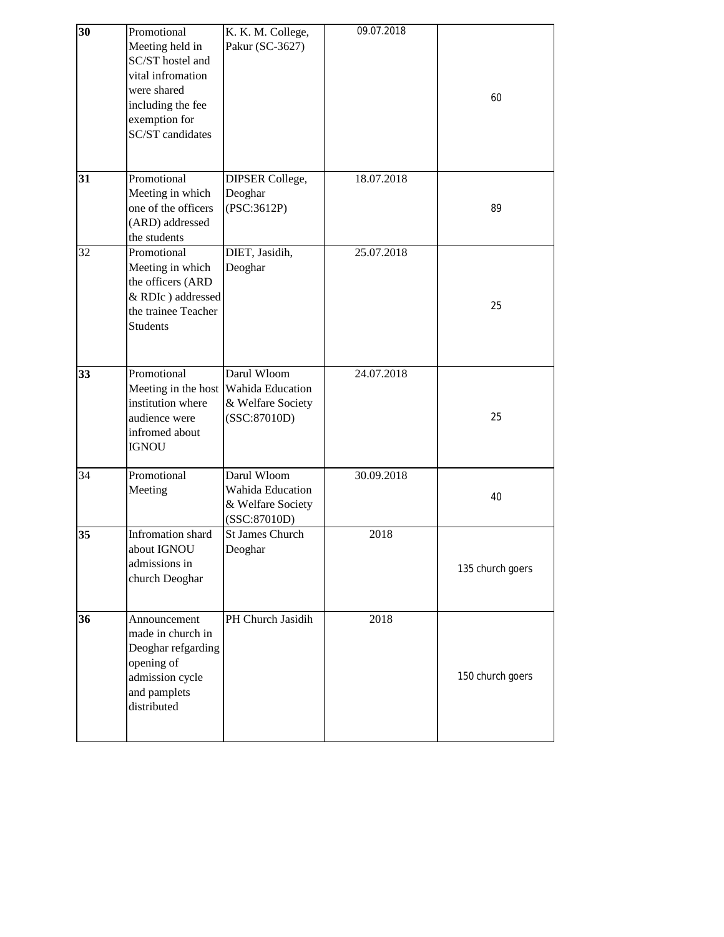| 30 | Promotional<br>Meeting held in<br>SC/ST hostel and<br>vital infromation<br>were shared<br>including the fee<br>exemption for<br><b>SC/ST</b> candidates | K. K. M. College,<br>Pakur (SC-3627)                                 | 09.07.2018 | 60               |
|----|---------------------------------------------------------------------------------------------------------------------------------------------------------|----------------------------------------------------------------------|------------|------------------|
| 31 | Promotional<br>Meeting in which<br>one of the officers<br>(ARD) addressed<br>the students                                                               | <b>DIPSER College,</b><br>Deoghar<br>(PSC:3612P)                     | 18.07.2018 | 89               |
| 32 | Promotional<br>Meeting in which<br>the officers (ARD<br>& RDIc ) addressed<br>the trainee Teacher<br><b>Students</b>                                    | DIET, Jasidih,<br>Deoghar                                            | 25.07.2018 | 25               |
| 33 | Promotional<br>Meeting in the host<br>institution where<br>audience were<br>infromed about<br><b>IGNOU</b>                                              | Darul Wloom<br>Wahida Education<br>& Welfare Society<br>(SSC:87010D) | 24.07.2018 | 25               |
| 34 | Promotional<br>Meeting                                                                                                                                  | Darul Wloom<br>Wahida Education<br>& Welfare Society<br>(SSC:87010D) | 30.09.2018 | 40               |
| 35 | Infromation shard<br>about IGNOU<br>admissions in<br>church Deoghar                                                                                     | St James Church<br>Deoghar                                           | 2018       | 135 church goers |
| 36 | Announcement<br>made in church in<br>Deoghar refgarding<br>opening of<br>admission cycle<br>and pamplets<br>distributed                                 | PH Church Jasidih                                                    | 2018       | 150 church goers |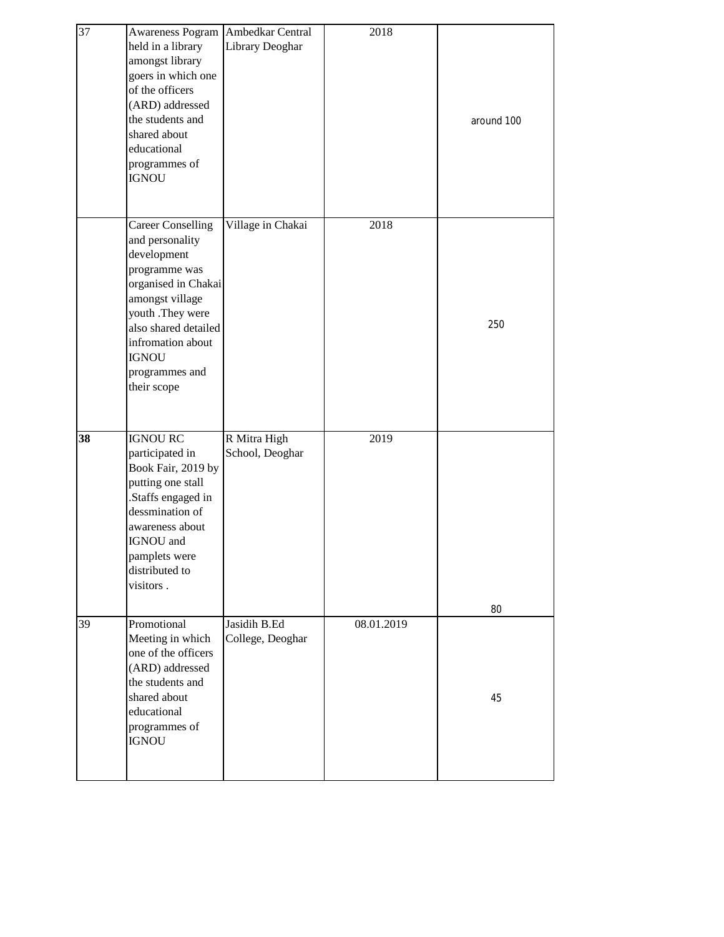| 37 | Awareness Pogram<br>held in a library<br>amongst library<br>goers in which one<br>of the officers<br>(ARD) addressed<br>the students and<br>shared about<br>educational<br>programmes of<br><b>IGNOU</b>                                | Ambedkar Central<br>Library Deoghar | 2018       | around 100 |
|----|-----------------------------------------------------------------------------------------------------------------------------------------------------------------------------------------------------------------------------------------|-------------------------------------|------------|------------|
|    | <b>Career Conselling</b><br>and personality<br>development<br>programme was<br>organised in Chakai<br>amongst village<br>youth .They were<br>also shared detailed<br>infromation about<br><b>IGNOU</b><br>programmes and<br>their scope | Village in Chakai                   | 2018       | 250        |
| 38 | <b>IGNOU RC</b><br>participated in<br>Book Fair, 2019 by<br>putting one stall<br>Staffs engaged in<br>dessmination of<br>awareness about<br>IGNOU and<br>pamplets were<br>distributed to<br>visitors.                                   | R Mitra High<br>School, Deoghar     | 2019       |            |
| 39 | Promotional<br>Meeting in which<br>one of the officers<br>(ARD) addressed<br>the students and<br>shared about<br>educational<br>programmes of<br><b>IGNOU</b>                                                                           | Jasidih B.Ed<br>College, Deoghar    | 08.01.2019 | 80<br>45   |